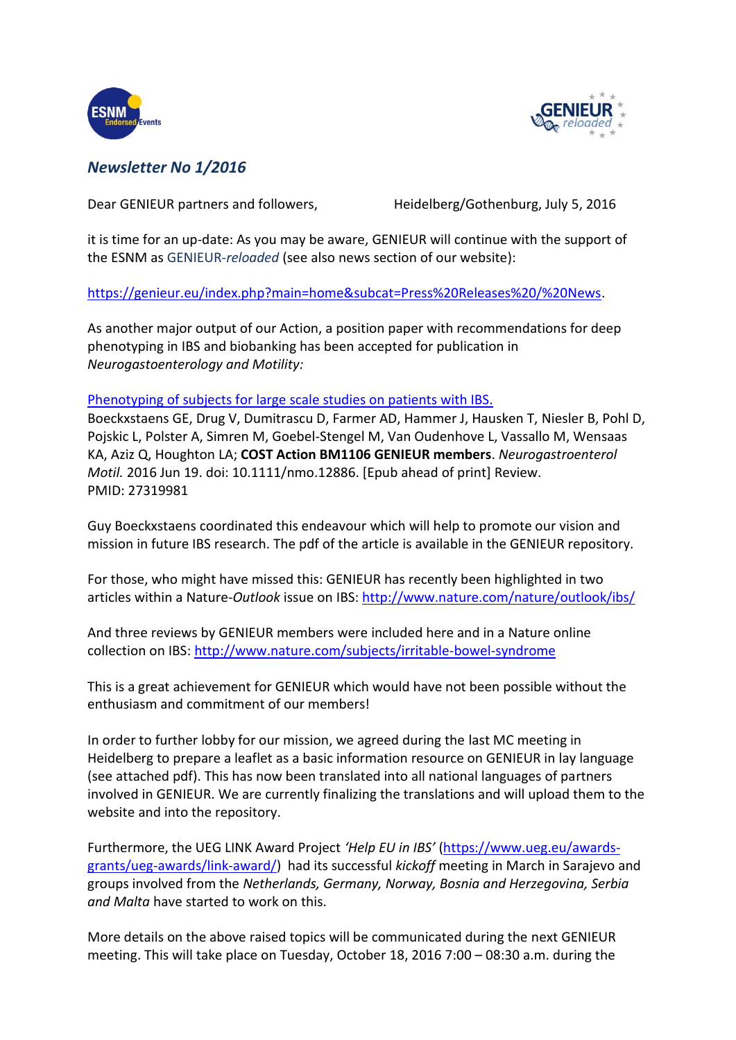



## *Newsletter No 1/2016*

Dear GENIEUR partners and followers, Heidelberg/Gothenburg, July 5, 2016

it is time for an up-date: As you may be aware, GENIEUR will continue with the support of the ESNM as GENIEUR-*reloaded* (see also news section of our website):

[https://genieur.eu/index.php?main=home&subcat=Press%20Releases%20/%20News.](https://mail.med.uni-heidelberg.de/,DanaInfo=genieur.eu,SSL+index.php?main=home&subcat=Press%20Releases%20/%20News)

As another major output of our Action, a position paper with recommendations for deep phenotyping in IBS and biobanking has been accepted for publication in *Neurogastoenterology and Motility:*

## [Phenotyping of subjects for large scale studies on patients with IBS.](http://www.ncbi.nlm.nih.gov/pubmed/27319981)

Boeckxstaens GE, Drug V, Dumitrascu D, Farmer AD, Hammer J, Hausken T, Niesler B, Pohl D, Pojskic L, Polster A, Simren M, Goebel-Stengel M, Van Oudenhove L, Vassallo M, Wensaas KA, Aziz Q, Houghton LA; **COST Action BM1106 GENIEUR members**. *Neurogastroenterol Motil.* 2016 Jun 19. doi: 10.1111/nmo.12886. [Epub ahead of print] Review. PMID: 27319981

Guy Boeckxstaens coordinated this endeavour which will help to promote our vision and mission in future IBS research. The pdf of the article is available in the GENIEUR repository.

For those, who might have missed this: GENIEUR has recently been highlighted in two articles within a Nature-*Outlook* issue on IBS:<http://www.nature.com/nature/outlook/ibs/>

And three reviews by GENIEUR members were included here and in a Nature online collection on IBS: <http://www.nature.com/subjects/irritable-bowel-syndrome>

This is a great achievement for GENIEUR which would have not been possible without the enthusiasm and commitment of our members!

In order to further lobby for our mission, we agreed during the last MC meeting in Heidelberg to prepare a leaflet as a basic information resource on GENIEUR in lay language (see attached pdf). This has now been translated into all national languages of partners involved in GENIEUR. We are currently finalizing the translations and will upload them to the website and into the repository.

Furthermore, the UEG LINK Award Project *'Help EU in IBS'* [\(https://www.ueg.eu/awards](https://www.ueg.eu/awards-grants/ueg-awards/link-award/)[grants/ueg-awards/link-award/\)](https://www.ueg.eu/awards-grants/ueg-awards/link-award/) had its successful *kickoff* meeting in March in Sarajevo and groups involved from the *Netherlands, Germany, Norway, Bosnia and Herzegovina, Serbia and Malta* have started to work on this.

More details on the above raised topics will be communicated during the next GENIEUR meeting. This will take place on Tuesday, October 18, 2016 7:00 – 08:30 a.m. during the